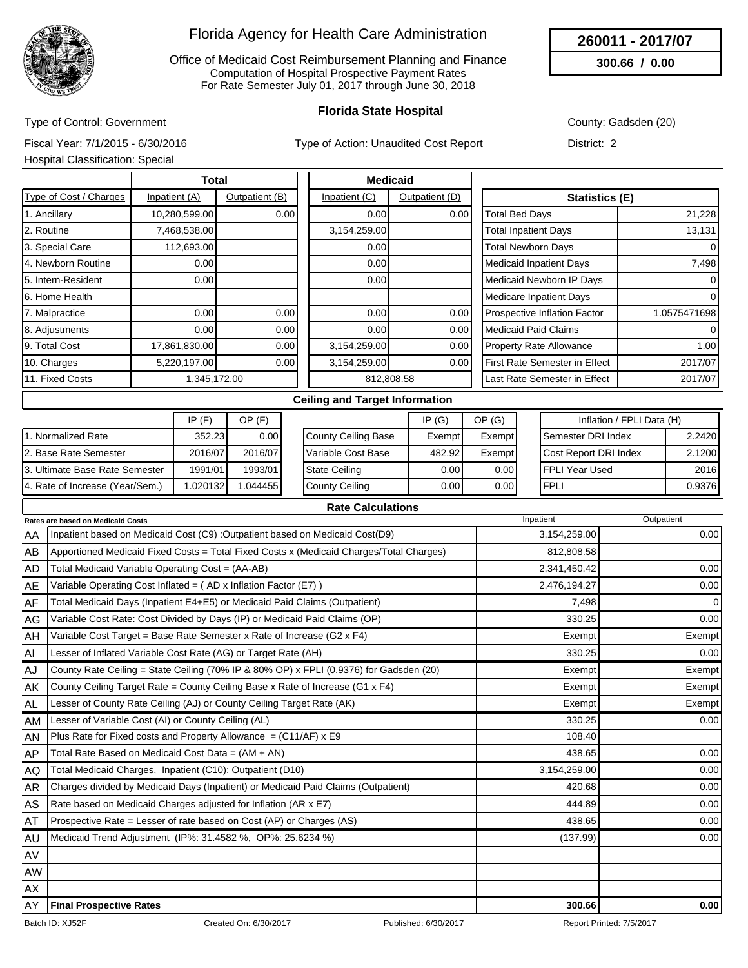

Office of Medicaid Cost Reimbursement Planning and Finance Computation of Hospital Prospective Payment Rates For Rate Semester July 01, 2017 through June 30, 2018

### **Florida State Hospital**

County: Gadsden (20)

**260011 - 2017/07 300.66 / 0.00**

Fiscal Year: 7/1/2015 - 6/30/2016

Type of Control: Government

Type of Action: Unaudited Cost Report

| District: 2 |  |
|-------------|--|

Hospital Classification: Special

| Total                  |               |                | <b>Medicaid</b> |                |                                |              |
|------------------------|---------------|----------------|-----------------|----------------|--------------------------------|--------------|
| Type of Cost / Charges | Inpatient (A) | Outpatient (B) | Inpatient (C)   | Outpatient (D) | <b>Statistics (E)</b>          |              |
| 1. Ancillary           | 10,280,599.00 | 0.00           | 0.00            | 0.00           | <b>Total Bed Days</b>          | 21,228       |
| 2. Routine             | 7,468,538.00  |                | 3,154,259.00    |                | <b>Total Inpatient Days</b>    | 13,131       |
| 3. Special Care        | 112,693.00    |                | 0.00            |                | <b>Total Newborn Days</b>      | $\Omega$     |
| 4. Newborn Routine     | 0.00          |                | 0.00            |                | <b>Medicaid Inpatient Days</b> | 7,498        |
| 5. Intern-Resident     | 0.00          |                | 0.00            |                | Medicaid Newborn IP Days       | 0            |
| 6. Home Health         |               |                |                 |                | <b>Medicare Inpatient Days</b> | 0            |
| 7. Malpractice         | 0.00          | 0.00           | 0.00            | 0.00           | Prospective Inflation Factor   | 1.0575471698 |
| 8. Adjustments         | 0.00          | 0.00           | 0.00            | 0.00           | <b>Medicaid Paid Claims</b>    | $\Omega$     |
| 9. Total Cost          | 17,861,830.00 | 0.00           | 3,154,259.00    | 0.00           | Property Rate Allowance        | 1.00         |
| 10. Charges            | 5,220,197.00  | 0.00           | 3,154,259.00    | 0.00           | First Rate Semester in Effect  | 2017/07      |
| 11. Fixed Costs        | 1,345,172.00  |                |                 | 812,808.58     | Last Rate Semester in Effect   | 2017/07      |
|                        |               |                |                 |                |                                |              |

#### **Ceiling and Target Information**

|                                 | IP(F)     | <u>OP (F)</u> | IP(G)               |        | <u>OP (G)</u>     | Inflation / FPLI Data (H)    |               |
|---------------------------------|-----------|---------------|---------------------|--------|-------------------|------------------------------|---------------|
| . Normalized Rate               | 352.23    | 0.00          | County Ceiling Base | Exempt | Exempt            | <b>I</b> Semester DRI Index  | 2.2420        |
| 2. Base Rate Semester           | 2016/07   | 2016/07       | Variable Cost Base  | 482.92 | Exempt            | <b>Cost Report DRI Index</b> | 2.1200        |
| 13. Ultimate Base Rate Semester | 1991/01   | 1993/01       | State Ceiling       | 0.001  | 0.00 <sub>l</sub> | IFPLI Year Used              | 2016 <b>1</b> |
| 4. Rate of Increase (Year/Sem.) | 1.0201321 | .044455       | County Ceiling      | 0.001  | 0.00              | 'FPLI                        | 0.9376        |

|           | <b>Rates are based on Medicaid Costs</b>                                                | Inpatient    | Outpatient |
|-----------|-----------------------------------------------------------------------------------------|--------------|------------|
| AA        | Inpatient based on Medicaid Cost (C9) : Outpatient based on Medicaid Cost(D9)           | 3,154,259.00 | 0.00       |
| AB        | Apportioned Medicaid Fixed Costs = Total Fixed Costs x (Medicaid Charges/Total Charges) | 812,808.58   |            |
| AD        | Total Medicaid Variable Operating Cost = (AA-AB)                                        | 2,341,450.42 | 0.00       |
| AE        | Variable Operating Cost Inflated = $(AD \times Inflation Factor (E7))$                  | 2,476,194.27 | 0.00       |
| AF        | Total Medicaid Days (Inpatient E4+E5) or Medicaid Paid Claims (Outpatient)              | 7,498        | 0          |
| AG        | Variable Cost Rate: Cost Divided by Days (IP) or Medicaid Paid Claims (OP)              | 330.25       | 0.00       |
| AH        | Variable Cost Target = Base Rate Semester x Rate of Increase (G2 x F4)                  | Exempt       | Exempt     |
| AI        | Lesser of Inflated Variable Cost Rate (AG) or Target Rate (AH)                          | 330.25       | 0.00       |
| AJ        | County Rate Ceiling = State Ceiling (70% IP & 80% OP) x FPLI (0.9376) for Gadsden (20)  | Exempt       | Exempt     |
| AK        | County Ceiling Target Rate = County Ceiling Base x Rate of Increase (G1 x F4)           | Exempt       | Exempt     |
| <b>AL</b> | Lesser of County Rate Ceiling (AJ) or County Ceiling Target Rate (AK)                   | Exempt       | Exempt     |
| AM        | Lesser of Variable Cost (AI) or County Ceiling (AL)                                     | 330.25       | 0.00       |
| AN        | Plus Rate for Fixed costs and Property Allowance = $(C11/AF)$ x E9                      | 108.40       |            |
| AP        | Total Rate Based on Medicaid Cost Data = $(AM + AN)$                                    | 438.65       | 0.00       |
| AQ        | Total Medicaid Charges, Inpatient (C10): Outpatient (D10)                               | 3,154,259.00 | 0.00       |
| <b>AR</b> | Charges divided by Medicaid Days (Inpatient) or Medicaid Paid Claims (Outpatient)       | 420.68       | 0.00       |
| AS        | Rate based on Medicaid Charges adjusted for Inflation (AR x E7)                         | 444.89       | 0.00       |
| AT        | Prospective Rate = Lesser of rate based on Cost (AP) or Charges (AS)                    | 438.65       | 0.00       |
| AU        | Medicaid Trend Adjustment (IP%: 31.4582 %, OP%: 25.6234 %)                              | (137.99)     | 0.00       |
| AV        |                                                                                         |              |            |
| <b>AW</b> |                                                                                         |              |            |
| AX        |                                                                                         |              |            |
| AY        | <b>Final Prospective Rates</b>                                                          | 300.66       | 0.00       |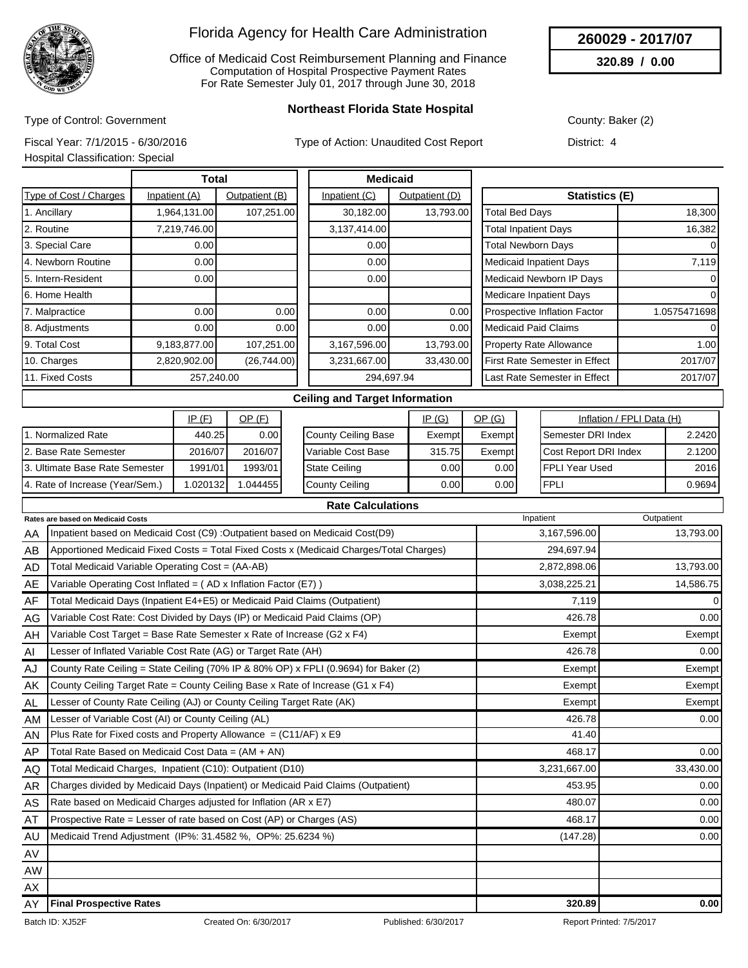

Office of Medicaid Cost Reimbursement Planning and Finance Computation of Hospital Prospective Payment Rates For Rate Semester July 01, 2017 through June 30, 2018

**260029 - 2017/07**

**320.89 / 0.00**

Type of Control: Government

**Northeast Florida State Hospital**

County: Baker (2)

Fiscal Year: 7/1/2015 - 6/30/2016

Type of Action: Unaudited Cost Report

|  | Hospital Classification: Special |  |
|--|----------------------------------|--|
|  |                                  |  |

District: 4

|                        | Total         |                |               | <b>Medicaid</b> |                                          |                |  |
|------------------------|---------------|----------------|---------------|-----------------|------------------------------------------|----------------|--|
| Type of Cost / Charges | Inpatient (A) | Outpatient (B) | Inpatient (C) | Outpatient (D)  | Statistics (E)                           |                |  |
| 1. Ancillary           | 1,964,131.00  | 107,251.00     | 30,182.00     | 13,793.00       | <b>Total Bed Days</b>                    | 18,300         |  |
| 2. Routine             | 7,219,746.00  |                | 3,137,414.00  |                 | <b>Total Inpatient Days</b>              | 16,382         |  |
| 3. Special Care        | 0.00          |                | 0.001         |                 | <b>Total Newborn Days</b>                | $\Omega$       |  |
| 4. Newborn Routine     | 0.00          |                | 0.00          |                 | <b>Medicaid Inpatient Days</b>           | 7,119          |  |
| 5. Intern-Resident     | 0.00          |                | 0.00          |                 | Medicaid Newborn IP Days                 | $\overline{0}$ |  |
| 6. Home Health         |               |                |               |                 | <b>Medicare Inpatient Days</b>           | 0              |  |
| 7. Malpractice         | 0.00          | 0.00           | 0.00          | 0.00            | Prospective Inflation Factor             | 1.0575471698   |  |
| 8. Adjustments         | 0.00          | 0.00           | 0.001         | 0.00            | Medicaid Paid Claims                     | $\Omega$       |  |
| 9. Total Cost          | 9,183,877.00  | 107,251.00     | 3,167,596.00  | 13,793.00       | <b>Property Rate Allowance</b>           | 1.00           |  |
| 10. Charges            | 2,820,902.00  | (26,744.00)    | 3,231,667.00  | 33,430.00       | First Rate Semester in Effect<br>2017/07 |                |  |
| 11. Fixed Costs        | 257,240.00    |                |               | 294,697.94      | 2017/07<br>Last Rate Semester in Effect  |                |  |
|                        |               |                |               | .               |                                          |                |  |

#### **Ceiling and Target Information**

|                                 | IP(F)     | <u>OP (F)</u> |                      | IP(G)  | <u>OP (G)</u>     | Inflation / FPLI Data (H) |        |
|---------------------------------|-----------|---------------|----------------------|--------|-------------------|---------------------------|--------|
| . Normalized Rate               | 440.25    | 0.001         | County Ceiling Base  | Exempt | Exempt            | <b>Semester DRI Index</b> | 2.2420 |
| 12. Base Rate Semester          | 2016/07   | 2016/07       | Variable Cost Base   | 315.75 | Exempt            | Cost Report DRI Index     | 2.1200 |
| 13. Ultimate Base Rate Semester | 1991/01   | 1993/01       | <b>State Ceiling</b> | 0.00   | 0.00 <sub>l</sub> | IFPLI Year Used           | 2016   |
| 4. Rate of Increase (Year/Sem.) | 1.0201321 | .044455       | County Ceiling       | 0.001  | 0.00              | <b>FPLI</b>               | 0.9694 |

|           | <b>Rate Calculations</b>                                                                |              |                |  |  |  |  |  |  |  |
|-----------|-----------------------------------------------------------------------------------------|--------------|----------------|--|--|--|--|--|--|--|
|           | Rates are based on Medicaid Costs                                                       | Inpatient    | Outpatient     |  |  |  |  |  |  |  |
| AA        | Inpatient based on Medicaid Cost (C9) : Outpatient based on Medicaid Cost(D9)           | 3,167,596.00 | 13,793.00      |  |  |  |  |  |  |  |
| AB        | Apportioned Medicaid Fixed Costs = Total Fixed Costs x (Medicaid Charges/Total Charges) | 294,697.94   |                |  |  |  |  |  |  |  |
| AD        | Total Medicaid Variable Operating Cost = (AA-AB)                                        | 2,872,898.06 | 13,793.00      |  |  |  |  |  |  |  |
| AE        | Variable Operating Cost Inflated = (AD x Inflation Factor (E7))                         | 3,038,225.21 | 14,586.75      |  |  |  |  |  |  |  |
| AF        | Total Medicaid Days (Inpatient E4+E5) or Medicaid Paid Claims (Outpatient)              | 7,119        | $\overline{0}$ |  |  |  |  |  |  |  |
| AG        | Variable Cost Rate: Cost Divided by Days (IP) or Medicaid Paid Claims (OP)              | 426.78       | 0.00           |  |  |  |  |  |  |  |
| AH        | Variable Cost Target = Base Rate Semester x Rate of Increase (G2 x F4)                  | Exempt       | Exempt         |  |  |  |  |  |  |  |
| AI        | Lesser of Inflated Variable Cost Rate (AG) or Target Rate (AH)                          | 426.78       | 0.00           |  |  |  |  |  |  |  |
| AJ        | County Rate Ceiling = State Ceiling (70% IP & 80% OP) x FPLI (0.9694) for Baker (2)     | Exempt       | Exempt         |  |  |  |  |  |  |  |
| AK        | County Ceiling Target Rate = County Ceiling Base x Rate of Increase (G1 x F4)           | Exempt       | Exempt         |  |  |  |  |  |  |  |
| AL.       | Lesser of County Rate Ceiling (AJ) or County Ceiling Target Rate (AK)                   | Exempt       | Exempt         |  |  |  |  |  |  |  |
| AM        | Lesser of Variable Cost (AI) or County Ceiling (AL)                                     | 426.78       | 0.00           |  |  |  |  |  |  |  |
| AN        | Plus Rate for Fixed costs and Property Allowance = $(C11/AF)$ x E9                      | 41.40        |                |  |  |  |  |  |  |  |
| AP        | Total Rate Based on Medicaid Cost Data = $(AM + AN)$                                    | 468.17       | 0.00           |  |  |  |  |  |  |  |
| AQ        | Total Medicaid Charges, Inpatient (C10): Outpatient (D10)                               | 3,231,667.00 | 33,430.00      |  |  |  |  |  |  |  |
| AR        | Charges divided by Medicaid Days (Inpatient) or Medicaid Paid Claims (Outpatient)       | 453.95       | 0.00           |  |  |  |  |  |  |  |
| AS        | Rate based on Medicaid Charges adjusted for Inflation (AR x E7)                         | 480.07       | 0.00           |  |  |  |  |  |  |  |
| AT        | Prospective Rate = Lesser of rate based on Cost (AP) or Charges (AS)                    | 468.17       | 0.00           |  |  |  |  |  |  |  |
| AU        | Medicaid Trend Adjustment (IP%: 31.4582 %, OP%: 25.6234 %)                              | (147.28)     | 0.00           |  |  |  |  |  |  |  |
| AV        |                                                                                         |              |                |  |  |  |  |  |  |  |
| <b>AW</b> |                                                                                         |              |                |  |  |  |  |  |  |  |
| AX        |                                                                                         |              |                |  |  |  |  |  |  |  |
| AY        | <b>Final Prospective Rates</b>                                                          | 320.89       | 0.00           |  |  |  |  |  |  |  |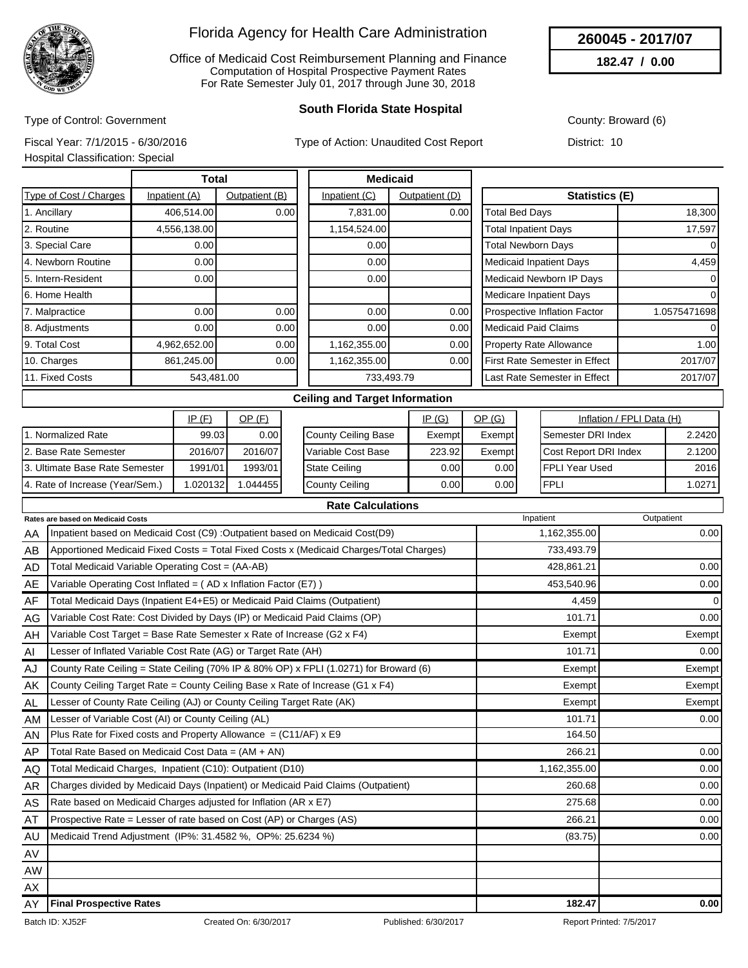

Office of Medicaid Cost Reimbursement Planning and Finance Computation of Hospital Prospective Payment Rates For Rate Semester July 01, 2017 through June 30, 2018

### **South Florida State Hospital**

County: Broward (6)

**260045 - 2017/07 182.47 / 0.00**

Type of Control: Government Fiscal Year: 7/1/2015 - 6/30/2016

Type of Action: Unaudited Cost Report

Hospital Classification: Special

District: 10

|                        | Total         |                |               | <b>Medicaid</b> |                                          |              |  |
|------------------------|---------------|----------------|---------------|-----------------|------------------------------------------|--------------|--|
| Type of Cost / Charges | Inpatient (A) | Outpatient (B) | Inpatient (C) | Outpatient (D)  | Statistics (E)                           |              |  |
| 1. Ancillary           | 406,514.00    | 0.00           | 7,831.00      | 0.00            | <b>Total Bed Days</b>                    | 18,300       |  |
| 2. Routine             | 4,556,138.00  |                | 1,154,524.00  |                 | <b>Total Inpatient Days</b>              | 17,597       |  |
| 3. Special Care        | 0.00          |                | 0.00          |                 | <b>Total Newborn Days</b>                | 0            |  |
| 4. Newborn Routine     | 0.00          |                | 0.00          |                 | <b>Medicaid Inpatient Days</b>           | 4,459        |  |
| 5. Intern-Resident     | 0.00          |                | 0.00          |                 | Medicaid Newborn IP Days                 | 0            |  |
| 6. Home Health         |               |                |               |                 | <b>Medicare Inpatient Days</b>           | $\Omega$     |  |
| 7. Malpractice         | 0.00          | 0.00           | 0.00          | 0.00            | Prospective Inflation Factor             | 1.0575471698 |  |
| 8. Adjustments         | 0.00          | 0.00           | 0.00          | 0.00            | <b>Medicaid Paid Claims</b>              | $\Omega$     |  |
| 9. Total Cost          | 4,962,652.00  | 0.00           | 1,162,355.00  | 0.00            | <b>Property Rate Allowance</b>           | 1.00         |  |
| 10. Charges            | 861,245.00    | 0.00           | 1,162,355.00  | 0.00            | First Rate Semester in Effect<br>2017/07 |              |  |
| 11. Fixed Costs        | 543,481.00    |                |               | 733,493.79      | 2017/07<br>Last Rate Semester in Effect  |              |  |
|                        |               |                |               |                 |                                          |              |  |

### **Ceiling and Target Information**

|                                 | IP(F)             | <u>OP (F)</u> |                      | IP(G)  | <u>OP (G)</u><br>Inflation / FPLI Data (H) |  |                              |        |
|---------------------------------|-------------------|---------------|----------------------|--------|--------------------------------------------|--|------------------------------|--------|
| 11. Normalized Rate             | 99.03             | 0.00          | County Ceiling Base  | Exempt | Exempt                                     |  | <b>I</b> Semester DRI Index  | 2.2420 |
| 12. Base Rate Semester          | 2016/07           | 2016/07       | Variable Cost Base   | 223.92 | Exempt                                     |  | <b>Cost Report DRI Index</b> | 2.1200 |
| 13. Ultimate Base Rate Semester | 1991/01           | 1993/01       | <b>State Ceiling</b> | 0.00 l | 0.001                                      |  | IFPLI Year Used              | 2016   |
| 4. Rate of Increase (Year/Sem.) | l.020132 <b>l</b> | .044455       | County Ceiling       | 0.00 l | 0.001                                      |  | <b>FPLI</b>                  | 1.0271 |

| <b>Rate Calculations</b> |                                                                                         |              |            |  |  |  |  |  |  |
|--------------------------|-----------------------------------------------------------------------------------------|--------------|------------|--|--|--|--|--|--|
|                          | Rates are based on Medicaid Costs                                                       | Inpatient    | Outpatient |  |  |  |  |  |  |
| AA                       | Inpatient based on Medicaid Cost (C9) : Outpatient based on Medicaid Cost(D9)           | 1,162,355.00 | 0.00       |  |  |  |  |  |  |
| AB                       | Apportioned Medicaid Fixed Costs = Total Fixed Costs x (Medicaid Charges/Total Charges) | 733,493.79   |            |  |  |  |  |  |  |
| AD                       | Total Medicaid Variable Operating Cost = (AA-AB)                                        | 428,861.21   | 0.00       |  |  |  |  |  |  |
| AE                       | Variable Operating Cost Inflated = (AD x Inflation Factor (E7))                         | 453,540.96   | 0.00       |  |  |  |  |  |  |
| AF                       | Total Medicaid Days (Inpatient E4+E5) or Medicaid Paid Claims (Outpatient)              | 4,459        | 0          |  |  |  |  |  |  |
| AG                       | Variable Cost Rate: Cost Divided by Days (IP) or Medicaid Paid Claims (OP)              | 101.71       | 0.00       |  |  |  |  |  |  |
| AH                       | Variable Cost Target = Base Rate Semester x Rate of Increase (G2 x F4)                  | Exempt       | Exempt     |  |  |  |  |  |  |
| AI                       | Lesser of Inflated Variable Cost Rate (AG) or Target Rate (AH)                          | 101.71       | 0.00       |  |  |  |  |  |  |
| AJ                       | County Rate Ceiling = State Ceiling (70% IP & 80% OP) x FPLI (1.0271) for Broward (6)   | Exempt       | Exempt     |  |  |  |  |  |  |
| AK                       | County Ceiling Target Rate = County Ceiling Base x Rate of Increase (G1 x F4)           | Exempt       | Exempt     |  |  |  |  |  |  |
| AL.                      | Lesser of County Rate Ceiling (AJ) or County Ceiling Target Rate (AK)                   | Exempt       | Exempt     |  |  |  |  |  |  |
| AM                       | Lesser of Variable Cost (AI) or County Ceiling (AL)                                     | 101.71       | 0.00       |  |  |  |  |  |  |
| AN                       | Plus Rate for Fixed costs and Property Allowance = $(C11/AF)$ x E9                      | 164.50       |            |  |  |  |  |  |  |
| AP                       | Total Rate Based on Medicaid Cost Data = $(AM + AN)$                                    | 266.21       | 0.00       |  |  |  |  |  |  |
| AQ.                      | Total Medicaid Charges, Inpatient (C10): Outpatient (D10)                               | 1,162,355.00 | 0.00       |  |  |  |  |  |  |
| AR                       | Charges divided by Medicaid Days (Inpatient) or Medicaid Paid Claims (Outpatient)       | 260.68       | 0.00       |  |  |  |  |  |  |
| AS                       | Rate based on Medicaid Charges adjusted for Inflation (AR x E7)                         | 275.68       | 0.00       |  |  |  |  |  |  |
| AT                       | Prospective Rate = Lesser of rate based on Cost (AP) or Charges (AS)                    | 266.21       | 0.00       |  |  |  |  |  |  |
| AU                       | Medicaid Trend Adjustment (IP%: 31.4582 %, OP%: 25.6234 %)                              | (83.75)      | 0.00       |  |  |  |  |  |  |
| AV                       |                                                                                         |              |            |  |  |  |  |  |  |
| <b>AW</b>                |                                                                                         |              |            |  |  |  |  |  |  |
| AX                       |                                                                                         |              |            |  |  |  |  |  |  |
| AY                       | <b>Final Prospective Rates</b>                                                          | 182.47       | 0.00       |  |  |  |  |  |  |